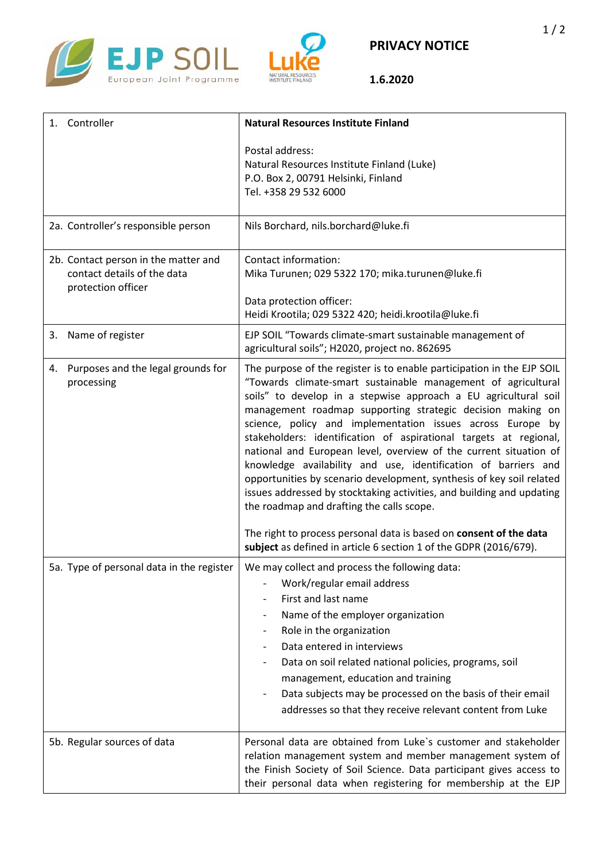



**1.6.2020**

| Controller<br>1.                                                                          | <b>Natural Resources Institute Finland</b>                                                                                                                                                                                                                                                                                                                                                                                                                                                                                                                                                                                                                                                                                                       |
|-------------------------------------------------------------------------------------------|--------------------------------------------------------------------------------------------------------------------------------------------------------------------------------------------------------------------------------------------------------------------------------------------------------------------------------------------------------------------------------------------------------------------------------------------------------------------------------------------------------------------------------------------------------------------------------------------------------------------------------------------------------------------------------------------------------------------------------------------------|
|                                                                                           | Postal address:<br>Natural Resources Institute Finland (Luke)<br>P.O. Box 2, 00791 Helsinki, Finland<br>Tel. +358 29 532 6000                                                                                                                                                                                                                                                                                                                                                                                                                                                                                                                                                                                                                    |
| 2a. Controller's responsible person                                                       | Nils Borchard, nils.borchard@luke.fi                                                                                                                                                                                                                                                                                                                                                                                                                                                                                                                                                                                                                                                                                                             |
| 2b. Contact person in the matter and<br>contact details of the data<br>protection officer | Contact information:<br>Mika Turunen; 029 5322 170; mika.turunen@luke.fi<br>Data protection officer:                                                                                                                                                                                                                                                                                                                                                                                                                                                                                                                                                                                                                                             |
|                                                                                           | Heidi Krootila; 029 5322 420; heidi.krootila@luke.fi                                                                                                                                                                                                                                                                                                                                                                                                                                                                                                                                                                                                                                                                                             |
| 3. Name of register                                                                       | EJP SOIL "Towards climate-smart sustainable management of<br>agricultural soils"; H2020, project no. 862695                                                                                                                                                                                                                                                                                                                                                                                                                                                                                                                                                                                                                                      |
| Purposes and the legal grounds for<br>4.<br>processing                                    | The purpose of the register is to enable participation in the EJP SOIL<br>"Towards climate-smart sustainable management of agricultural<br>soils" to develop in a stepwise approach a EU agricultural soil<br>management roadmap supporting strategic decision making on<br>science, policy and implementation issues across Europe by<br>stakeholders: identification of aspirational targets at regional,<br>national and European level, overview of the current situation of<br>knowledge availability and use, identification of barriers and<br>opportunities by scenario development, synthesis of key soil related<br>issues addressed by stocktaking activities, and building and updating<br>the roadmap and drafting the calls scope. |
|                                                                                           | The right to process personal data is based on consent of the data<br>subject as defined in article 6 section 1 of the GDPR (2016/679).                                                                                                                                                                                                                                                                                                                                                                                                                                                                                                                                                                                                          |
| 5a. Type of personal data in the register                                                 | We may collect and process the following data:<br>Work/regular email address<br>First and last name<br>Name of the employer organization<br>Role in the organization<br>Data entered in interviews<br>Data on soil related national policies, programs, soil<br>management, education and training<br>Data subjects may be processed on the basis of their email<br>addresses so that they receive relevant content from Luke                                                                                                                                                                                                                                                                                                                    |
| 5b. Regular sources of data                                                               | Personal data are obtained from Luke's customer and stakeholder<br>relation management system and member management system of<br>the Finish Society of Soil Science. Data participant gives access to<br>their personal data when registering for membership at the EJP                                                                                                                                                                                                                                                                                                                                                                                                                                                                          |